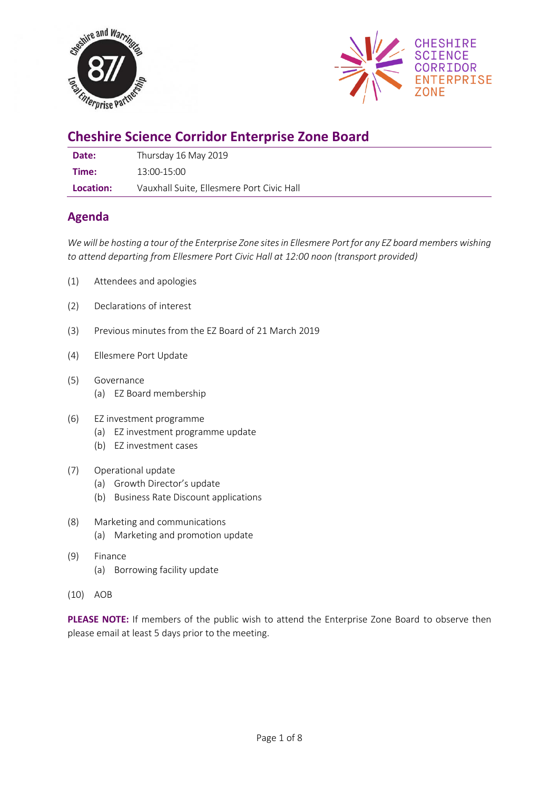



# **Cheshire Science Corridor Enterprise Zone Board**

| Date:     | Thursday 16 May 2019                      |
|-----------|-------------------------------------------|
| Time:     | $13:00-15:00$                             |
| Location: | Vauxhall Suite, Ellesmere Port Civic Hall |

# **Agenda**

*We will be hosting a tour of the Enterprise Zone sites in Ellesmere Port for any EZ board members wishing to attend departing from Ellesmere Port Civic Hall at 12:00 noon (transport provided)*

- (1) Attendees and apologies
- (2) Declarations of interest
- (3) Previous minutes from the EZ Board of 21 March 2019
- (4) Ellesmere Port Update
- (5) Governance (a) EZ Board membership
- (6) EZ investment programme
	- (a) EZ investment programme update
	- (b) EZ investment cases

## (7) Operational update

- (a) Growth Director's update
- (b) Business Rate Discount applications
- (8) Marketing and communications (a) Marketing and promotion update
- (9) Finance (a) Borrowing facility update
- (10) AOB

**PLEASE NOTE:** If members of the public wish to attend the Enterprise Zone Board to observe then please email at least 5 days prior to the meeting.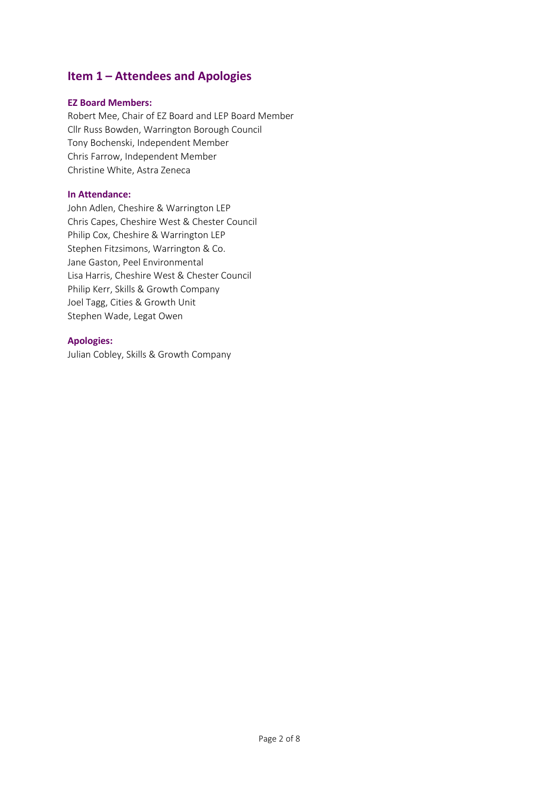# **Item 1 – Attendees and Apologies**

#### **EZ Board Members:**

Robert Mee, Chair of EZ Board and LEP Board Member Cllr Russ Bowden, Warrington Borough Council Tony Bochenski, Independent Member Chris Farrow, Independent Member Christine White, Astra Zeneca

#### **In Attendance:**

John Adlen, Cheshire & Warrington LEP Chris Capes, Cheshire West & Chester Council Philip Cox, Cheshire & Warrington LEP Stephen Fitzsimons, Warrington & Co. Jane Gaston, Peel Environmental Lisa Harris, Cheshire West & Chester Council Philip Kerr, Skills & Growth Company Joel Tagg, Cities & Growth Unit Stephen Wade, Legat Owen

### **Apologies:**

Julian Cobley, Skills & Growth Company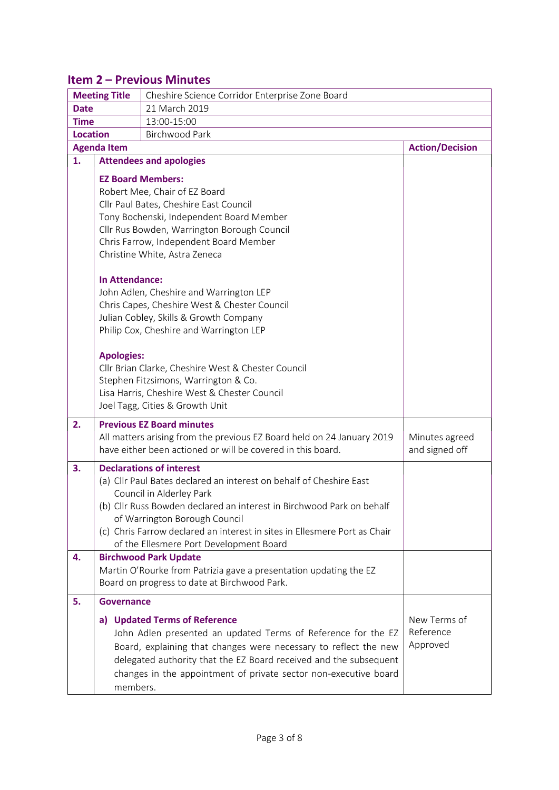# **Item 2 – Previous Minutes**

|                                          | <b>Meeting Title</b><br>Cheshire Science Corridor Enterprise Zone Board              |                                                                           |                        |  |
|------------------------------------------|--------------------------------------------------------------------------------------|---------------------------------------------------------------------------|------------------------|--|
| <b>Date</b>                              |                                                                                      | 21 March 2019                                                             |                        |  |
| <b>Time</b>                              |                                                                                      | 13:00-15:00                                                               |                        |  |
| <b>Location</b><br><b>Birchwood Park</b> |                                                                                      |                                                                           |                        |  |
|                                          | <b>Agenda Item</b>                                                                   |                                                                           | <b>Action/Decision</b> |  |
| 1.                                       |                                                                                      | <b>Attendees and apologies</b>                                            |                        |  |
|                                          | <b>EZ Board Members:</b>                                                             |                                                                           |                        |  |
|                                          | Robert Mee, Chair of EZ Board                                                        |                                                                           |                        |  |
|                                          | Cllr Paul Bates, Cheshire East Council                                               |                                                                           |                        |  |
|                                          |                                                                                      | Tony Bochenski, Independent Board Member                                  |                        |  |
|                                          |                                                                                      | Cllr Rus Bowden, Warrington Borough Council                               |                        |  |
|                                          |                                                                                      | Chris Farrow, Independent Board Member                                    |                        |  |
|                                          | Christine White, Astra Zeneca                                                        |                                                                           |                        |  |
|                                          |                                                                                      |                                                                           |                        |  |
|                                          | In Attendance:                                                                       |                                                                           |                        |  |
|                                          |                                                                                      | John Adlen, Cheshire and Warrington LEP                                   |                        |  |
|                                          | Chris Capes, Cheshire West & Chester Council                                         |                                                                           |                        |  |
|                                          | Julian Cobley, Skills & Growth Company                                               |                                                                           |                        |  |
|                                          |                                                                                      | Philip Cox, Cheshire and Warrington LEP                                   |                        |  |
|                                          | <b>Apologies:</b>                                                                    |                                                                           |                        |  |
|                                          | Cllr Brian Clarke, Cheshire West & Chester Council                                   |                                                                           |                        |  |
|                                          |                                                                                      |                                                                           |                        |  |
|                                          | Stephen Fitzsimons, Warrington & Co.<br>Lisa Harris, Cheshire West & Chester Council |                                                                           |                        |  |
|                                          |                                                                                      | Joel Tagg, Cities & Growth Unit                                           |                        |  |
| 2.                                       |                                                                                      | <b>Previous EZ Board minutes</b>                                          |                        |  |
|                                          |                                                                                      | All matters arising from the previous EZ Board held on 24 January 2019    | Minutes agreed         |  |
|                                          |                                                                                      | have either been actioned or will be covered in this board.               | and signed off         |  |
|                                          |                                                                                      |                                                                           |                        |  |
| 3.                                       |                                                                                      |                                                                           |                        |  |
|                                          |                                                                                      | <b>Declarations of interest</b>                                           |                        |  |
|                                          |                                                                                      | (a) Cllr Paul Bates declared an interest on behalf of Cheshire East       |                        |  |
|                                          |                                                                                      | Council in Alderley Park                                                  |                        |  |
|                                          |                                                                                      | (b) Cllr Russ Bowden declared an interest in Birchwood Park on behalf     |                        |  |
|                                          |                                                                                      | of Warrington Borough Council                                             |                        |  |
|                                          |                                                                                      | (c) Chris Farrow declared an interest in sites in Ellesmere Port as Chair |                        |  |
|                                          |                                                                                      | of the Ellesmere Port Development Board                                   |                        |  |
| 4.                                       |                                                                                      | <b>Birchwood Park Update</b>                                              |                        |  |
|                                          |                                                                                      | Martin O'Rourke from Patrizia gave a presentation updating the EZ         |                        |  |
|                                          |                                                                                      | Board on progress to date at Birchwood Park.                              |                        |  |
| 5.                                       | <b>Governance</b>                                                                    |                                                                           |                        |  |
|                                          |                                                                                      | a) Updated Terms of Reference                                             | New Terms of           |  |
|                                          |                                                                                      | John Adlen presented an updated Terms of Reference for the EZ             | Reference              |  |
|                                          |                                                                                      | Board, explaining that changes were necessary to reflect the new          | Approved               |  |
|                                          |                                                                                      | delegated authority that the EZ Board received and the subsequent         |                        |  |
|                                          | members.                                                                             | changes in the appointment of private sector non-executive board          |                        |  |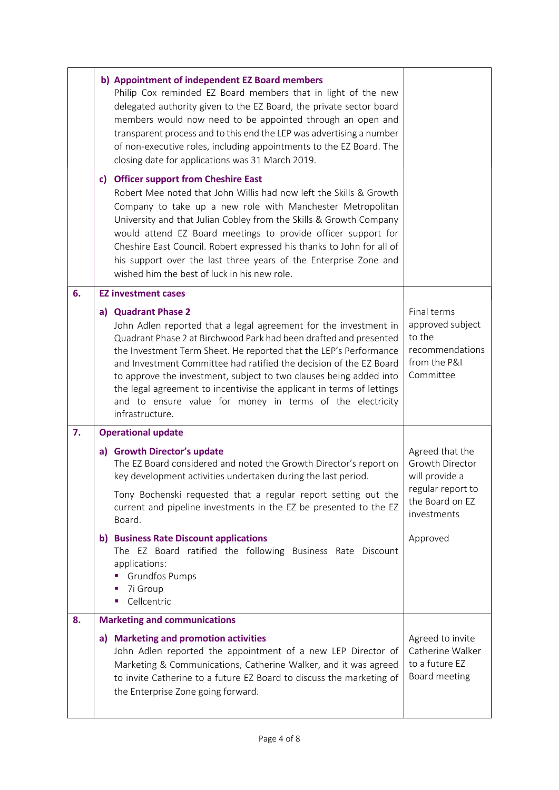|    | b) Appointment of independent EZ Board members<br>Philip Cox reminded EZ Board members that in light of the new<br>delegated authority given to the EZ Board, the private sector board<br>members would now need to be appointed through an open and<br>transparent process and to this end the LEP was advertising a number<br>of non-executive roles, including appointments to the EZ Board. The<br>closing date for applications was 31 March 2019.                                                                                |                                                                                                                    |
|----|----------------------------------------------------------------------------------------------------------------------------------------------------------------------------------------------------------------------------------------------------------------------------------------------------------------------------------------------------------------------------------------------------------------------------------------------------------------------------------------------------------------------------------------|--------------------------------------------------------------------------------------------------------------------|
|    | c) Officer support from Cheshire East<br>Robert Mee noted that John Willis had now left the Skills & Growth<br>Company to take up a new role with Manchester Metropolitan<br>University and that Julian Cobley from the Skills & Growth Company<br>would attend EZ Board meetings to provide officer support for<br>Cheshire East Council. Robert expressed his thanks to John for all of<br>his support over the last three years of the Enterprise Zone and<br>wished him the best of luck in his new role.                          |                                                                                                                    |
| 6. | <b>EZ investment cases</b>                                                                                                                                                                                                                                                                                                                                                                                                                                                                                                             |                                                                                                                    |
|    | a) Quadrant Phase 2<br>John Adlen reported that a legal agreement for the investment in<br>Quadrant Phase 2 at Birchwood Park had been drafted and presented<br>the Investment Term Sheet. He reported that the LEP's Performance<br>and Investment Committee had ratified the decision of the EZ Board<br>to approve the investment, subject to two clauses being added into<br>the legal agreement to incentivise the applicant in terms of lettings<br>and to ensure value for money in terms of the electricity<br>infrastructure. | Final terms<br>approved subject<br>to the<br>recommendations<br>from the P&I<br>Committee                          |
| 7. | <b>Operational update</b>                                                                                                                                                                                                                                                                                                                                                                                                                                                                                                              |                                                                                                                    |
|    | a) Growth Director's update<br>The EZ Board considered and noted the Growth Director's report on<br>key development activities undertaken during the last period.<br>Tony Bochenski requested that a regular report setting out the<br>current and pipeline investments in the EZ be presented to the EZ<br>Board.                                                                                                                                                                                                                     | Agreed that the<br><b>Growth Director</b><br>will provide a<br>regular report to<br>the Board on EZ<br>investments |
|    | b) Business Rate Discount applications<br>The EZ Board ratified the following Business Rate Discount<br>applications:<br><b>Grundfos Pumps</b><br>7i Group<br>Cellcentric<br>×                                                                                                                                                                                                                                                                                                                                                         | Approved                                                                                                           |
| 8. | <b>Marketing and communications</b>                                                                                                                                                                                                                                                                                                                                                                                                                                                                                                    |                                                                                                                    |
|    | a) Marketing and promotion activities<br>John Adlen reported the appointment of a new LEP Director of<br>Marketing & Communications, Catherine Walker, and it was agreed<br>to invite Catherine to a future EZ Board to discuss the marketing of<br>the Enterprise Zone going forward.                                                                                                                                                                                                                                                 | Agreed to invite<br>Catherine Walker<br>to a future EZ<br>Board meeting                                            |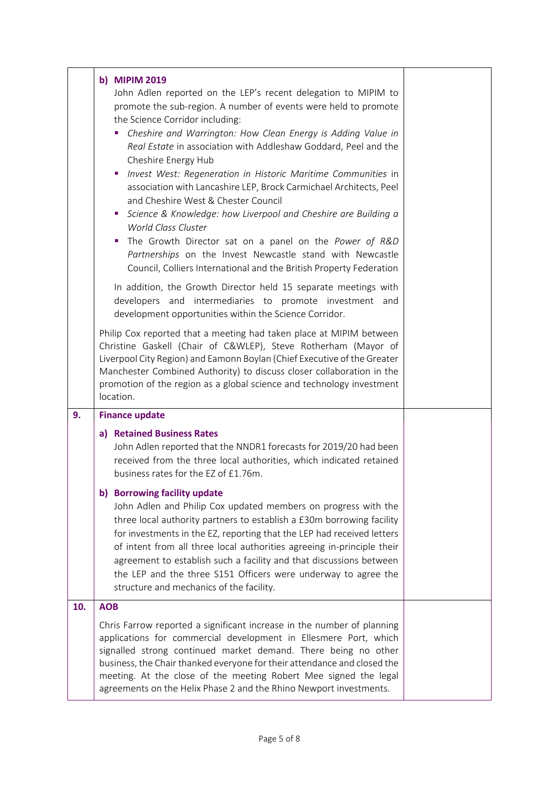|     | b) MIPIM 2019<br>John Adlen reported on the LEP's recent delegation to MIPIM to                                                                                                                                                                                                                                                                                                                                                                                                                                                                                                                                                                                                                                                                                                                                                                     |  |
|-----|-----------------------------------------------------------------------------------------------------------------------------------------------------------------------------------------------------------------------------------------------------------------------------------------------------------------------------------------------------------------------------------------------------------------------------------------------------------------------------------------------------------------------------------------------------------------------------------------------------------------------------------------------------------------------------------------------------------------------------------------------------------------------------------------------------------------------------------------------------|--|
|     | promote the sub-region. A number of events were held to promote<br>the Science Corridor including:<br>Cheshire and Warrington: How Clean Energy is Adding Value in<br>ш<br>Real Estate in association with Addleshaw Goddard, Peel and the<br>Cheshire Energy Hub<br>Invest West: Regeneration in Historic Maritime Communities in<br>ш<br>association with Lancashire LEP, Brock Carmichael Architects, Peel<br>and Cheshire West & Chester Council<br>Science & Knowledge: how Liverpool and Cheshire are Building a<br>m.<br>World Class Cluster<br>The Growth Director sat on a panel on the Power of R&D<br>$\mathcal{L}_{\mathcal{A}}$<br>Partnerships on the Invest Newcastle stand with Newcastle<br>Council, Colliers International and the British Property Federation<br>In addition, the Growth Director held 15 separate meetings with |  |
|     | developers and intermediaries to promote investment and<br>development opportunities within the Science Corridor.                                                                                                                                                                                                                                                                                                                                                                                                                                                                                                                                                                                                                                                                                                                                   |  |
|     | Philip Cox reported that a meeting had taken place at MIPIM between<br>Christine Gaskell (Chair of C&WLEP), Steve Rotherham (Mayor of<br>Liverpool City Region) and Eamonn Boylan (Chief Executive of the Greater<br>Manchester Combined Authority) to discuss closer collaboration in the<br>promotion of the region as a global science and technology investment<br>location.                                                                                                                                                                                                                                                                                                                                                                                                                                                                    |  |
| 9.  | <b>Finance update</b>                                                                                                                                                                                                                                                                                                                                                                                                                                                                                                                                                                                                                                                                                                                                                                                                                               |  |
|     | a) Retained Business Rates<br>John Adlen reported that the NNDR1 forecasts for 2019/20 had been<br>received from the three local authorities, which indicated retained<br>business rates for the EZ of £1.76m.                                                                                                                                                                                                                                                                                                                                                                                                                                                                                                                                                                                                                                      |  |
|     | b) Borrowing facility update<br>John Adlen and Philip Cox updated members on progress with the<br>three local authority partners to establish a £30m borrowing facility<br>for investments in the EZ, reporting that the LEP had received letters<br>of intent from all three local authorities agreeing in-principle their<br>agreement to establish such a facility and that discussions between<br>the LEP and the three S151 Officers were underway to agree the<br>structure and mechanics of the facility.                                                                                                                                                                                                                                                                                                                                    |  |
| 10. | <b>AOB</b>                                                                                                                                                                                                                                                                                                                                                                                                                                                                                                                                                                                                                                                                                                                                                                                                                                          |  |
|     | Chris Farrow reported a significant increase in the number of planning<br>applications for commercial development in Ellesmere Port, which<br>signalled strong continued market demand. There being no other<br>business, the Chair thanked everyone for their attendance and closed the<br>meeting. At the close of the meeting Robert Mee signed the legal<br>agreements on the Helix Phase 2 and the Rhino Newport investments.                                                                                                                                                                                                                                                                                                                                                                                                                  |  |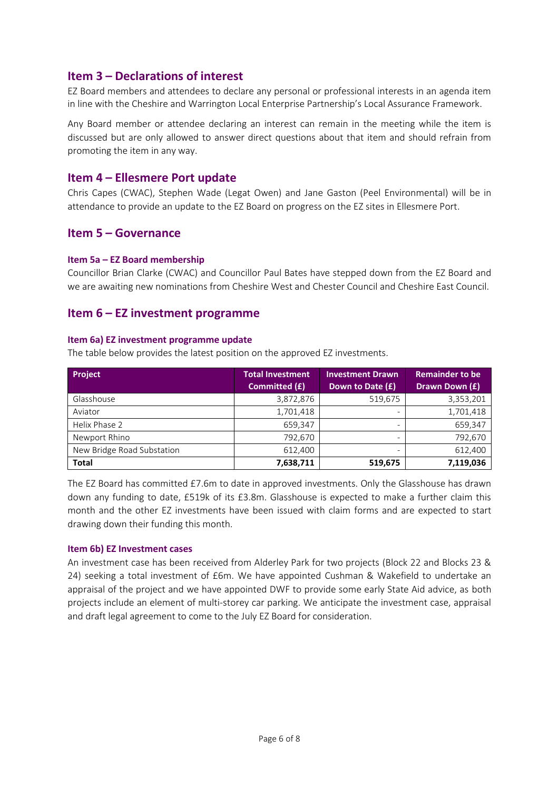## **Item 3 – Declarations of interest**

EZ Board members and attendees to declare any personal or professional interests in an agenda item in line with the Cheshire and Warrington Local Enterprise Partnership's Local Assurance Framework.

Any Board member or attendee declaring an interest can remain in the meeting while the item is discussed but are only allowed to answer direct questions about that item and should refrain from promoting the item in any way.

## **Item 4 – Ellesmere Port update**

Chris Capes (CWAC), Stephen Wade (Legat Owen) and Jane Gaston (Peel Environmental) will be in attendance to provide an update to the EZ Board on progress on the EZ sites in Ellesmere Port.

## **Item 5 – Governance**

### **Item 5a – EZ Board membership**

Councillor Brian Clarke (CWAC) and Councillor Paul Bates have stepped down from the EZ Board and we are awaiting new nominations from Cheshire West and Chester Council and Cheshire East Council.

## **Item 6 – EZ investment programme**

### **Item 6a) EZ investment programme update**

The table below provides the latest position on the approved EZ investments.

| <b>Project</b>             | <b>Total Investment</b><br>Committed (£) | <b>Investment Drawn</b><br>Down to Date (£) | <b>Remainder to be</b><br>Drawn Down (£) |
|----------------------------|------------------------------------------|---------------------------------------------|------------------------------------------|
| Glasshouse                 | 3,872,876                                | 519,675                                     | 3,353,201                                |
| Aviator                    | 1,701,418                                |                                             | 1,701,418                                |
| Helix Phase 2              | 659.347                                  | $\overline{\phantom{m}}$                    | 659,347                                  |
| Newport Rhino              | 792.670                                  |                                             | 792,670                                  |
| New Bridge Road Substation | 612.400                                  |                                             | 612.400                                  |
| <b>Total</b>               | 7,638,711                                | 519,675                                     | 7,119,036                                |

The EZ Board has committed £7.6m to date in approved investments. Only the Glasshouse has drawn down any funding to date, £519k of its £3.8m. Glasshouse is expected to make a further claim this month and the other EZ investments have been issued with claim forms and are expected to start drawing down their funding this month.

#### **Item 6b) EZ Investment cases**

An investment case has been received from Alderley Park for two projects (Block 22 and Blocks 23 & 24) seeking a total investment of £6m. We have appointed Cushman & Wakefield to undertake an appraisal of the project and we have appointed DWF to provide some early State Aid advice, as both projects include an element of multi-storey car parking. We anticipate the investment case, appraisal and draft legal agreement to come to the July EZ Board for consideration.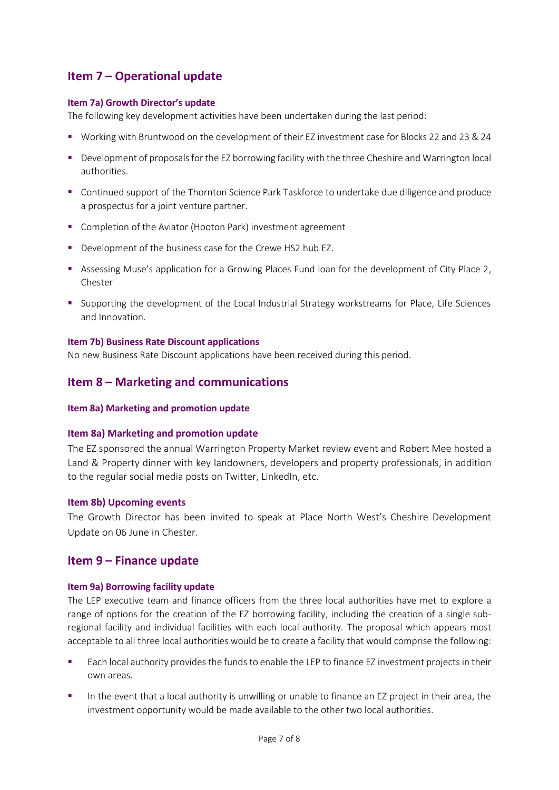# **Item 7 – Operational update**

### **Item 7a) Growth Director's update**

The following key development activities have been undertaken during the last period:

- Working with Bruntwood on the development of their EZ investment case for Blocks 22 and 23 & 24
- **•** Development of proposals for the EZ borrowing facility with the three Cheshire and Warrington local authorities.
- Continued support of the Thornton Science Park Taskforce to undertake due diligence and produce a prospectus for a joint venture partner.
- Completion of the Aviator (Hooton Park) investment agreement
- Development of the business case for the Crewe HS2 hub EZ.
- Assessing Muse's application for a Growing Places Fund loan for the development of City Place 2, Chester
- Supporting the development of the Local Industrial Strategy workstreams for Place, Life Sciences and Innovation.

### **Item 7b) Business Rate Discount applications**

No new Business Rate Discount applications have been received during this period.

# **Item 8 – Marketing and communications**

#### **Item 8a) Marketing and promotion update**

## **Item 8a) Marketing and promotion update**

The EZ sponsored the annual Warrington Property Market review event and Robert Mee hosted a Land & Property dinner with key landowners, developers and property professionals, in addition to the regular social media posts on Twitter, LinkedIn, etc.

#### **Item 8b) Upcoming events**

The Growth Director has been invited to speak at Place North West's Cheshire Development Update on 06 June in Chester.

## **Item 9 – Finance update**

#### **Item 9a) Borrowing facility update**

The LEP executive team and finance officers from the three local authorities have met to explore a range of options for the creation of the EZ borrowing facility, including the creation of a single subregional facility and individual facilities with each local authority. The proposal which appears most acceptable to all three local authorities would be to create a facility that would comprise the following:

- Each local authority provides the funds to enable the LEP to finance EZ investment projects in their own areas.
- In the event that a local authority is unwilling or unable to finance an EZ project in their area, the investment opportunity would be made available to the other two local authorities.